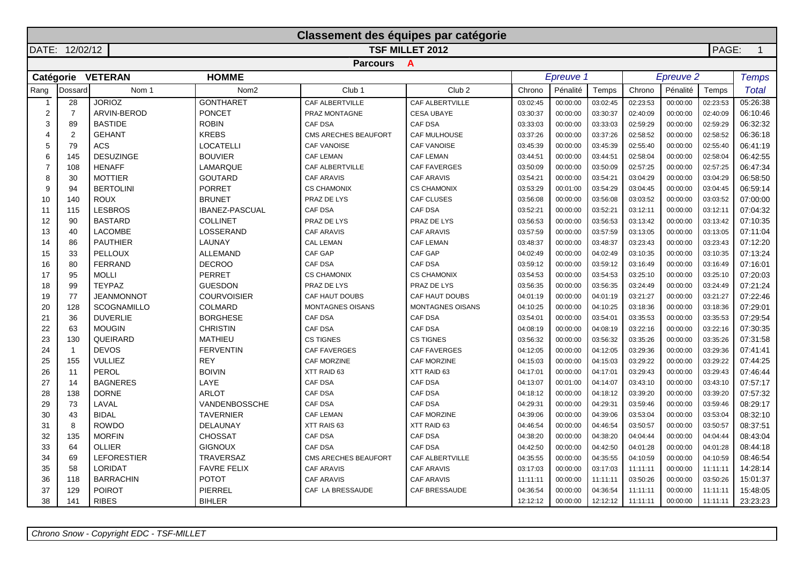|                  |                |                    |                                       | Classement des équipes par catégorie |                     |          |           |          |                    |                  |          |                |
|------------------|----------------|--------------------|---------------------------------------|--------------------------------------|---------------------|----------|-----------|----------|--------------------|------------------|----------|----------------|
|                  | DATE: 12/02/12 |                    |                                       |                                      | TSF MILLET 2012     |          |           |          |                    |                  | PAGE:    | $\overline{1}$ |
|                  |                |                    |                                       | <b>Parcours</b>                      | $\mathbf{A}$        |          |           |          |                    |                  |          |                |
|                  |                | Catégorie VETERAN  | <b>HOMME</b>                          |                                      |                     |          | Epreuve 1 |          |                    | <b>Epreuve 2</b> |          | <b>Temps</b>   |
| Rang             | Dossard        | Nom 1              | Nom <sub>2</sub><br>Club <sub>1</sub> |                                      | Club <sub>2</sub>   | Chrono   | Pénalité  | Temps    | Chrono<br>Pénalité |                  | Temps    | Total          |
| $\overline{1}$   | 28             | <b>JORIOZ</b>      | <b>GONTHARET</b>                      | CAF ALBERTVILLE                      | CAF ALBERTVILLE     | 03:02:45 | 00:00:00  | 03:02:45 | 02:23:53           | 00:00:00         | 02:23:53 | 05:26:38       |
| $\mathbf 2$      | $\overline{7}$ | ARVIN-BEROD        | <b>PONCET</b>                         | PRAZ MONTAGNE                        | <b>CESA UBAYE</b>   | 03:30:37 | 00:00:00  | 03:30:37 | 02:40:09           | 00:00:00         | 02:40:09 | 06:10:46       |
| 3                | 89             | <b>BASTIDE</b>     | <b>ROBIN</b>                          | <b>CAF DSA</b>                       | CAF DSA             | 03:33:03 | 00:00:00  | 03:33:03 | 02:59:29           | 00:00:00         | 02:59:29 | 06:32:32       |
|                  | $\overline{2}$ | <b>GEHANT</b>      | <b>KREBS</b>                          | CMS ARECHES BEAUFORT                 | CAF MULHOUSE        | 03:37:26 | 00:00:00  | 03:37:26 | 02:58:52           | 00:00:00         | 02:58:52 | 06:36:18       |
| 5                | 79             | <b>ACS</b>         | <b>LOCATELLI</b>                      | <b>CAF VANOISE</b>                   | <b>CAF VANOISE</b>  | 03:45:39 | 00:00:00  | 03:45:39 | 02:55:40           | 00:00:00         | 02:55:40 | 06:41:19       |
| 6                | 145            | <b>DESUZINGE</b>   | <b>BOUVIER</b>                        | <b>CAF LEMAN</b>                     | <b>CAF LEMAN</b>    | 03:44:51 | 00:00:00  | 03:44:51 | 02:58:04           | 00:00:00         | 02:58:04 | 06:42:55       |
| $\boldsymbol{7}$ | 108            | <b>HENAFF</b>      | LAMARQUE                              | CAF ALBERTVILLE                      | <b>CAF FAVERGES</b> | 03:50:09 | 00:00:00  | 03:50:09 | 02:57:25           | 00:00:00         | 02:57:25 | 06:47:34       |
| 8                | 30             | <b>MOTTIER</b>     | <b>GOUTARD</b>                        | <b>CAF ARAVIS</b>                    | <b>CAF ARAVIS</b>   | 03:54:21 | 00:00:00  | 03:54:21 | 03:04:29           | 00:00:00         | 03:04:29 | 06:58:50       |
| 9                | 94             | <b>BERTOLINI</b>   | <b>PORRET</b>                         | <b>CS CHAMONIX</b>                   | <b>CS CHAMONIX</b>  | 03:53:29 | 00:01:00  | 03:54:29 | 03:04:45           | 00:00:00         | 03:04:45 | 06:59:14       |
| 10               | 140            | <b>ROUX</b>        | <b>BRUNET</b>                         | PRAZ DE LYS                          | <b>CAF CLUSES</b>   | 03:56:08 | 00:00:00  | 03:56:08 | 03:03:52           | 00:00:00         | 03:03:52 | 07:00:00       |
| 11               | 115            | <b>LESBROS</b>     | <b>IBANEZ-PASCUAL</b>                 | <b>CAF DSA</b>                       | <b>CAF DSA</b>      | 03:52:21 | 00:00:00  | 03:52:21 | 03:12:11           | 00:00:00         | 03:12:11 | 07:04:32       |
| 12               | 90             | <b>BASTARD</b>     | <b>COLLINET</b>                       | PRAZ DE LYS                          | PRAZ DE LYS         | 03:56:53 | 00:00:00  | 03:56:53 | 03:13:42           | 00:00:00         | 03:13:42 | 07:10:35       |
| 13               | 40             | <b>LACOMBE</b>     | LOSSERAND                             | <b>CAF ARAVIS</b>                    | <b>CAF ARAVIS</b>   | 03:57:59 | 00:00:00  | 03:57:59 | 03:13:05           | 00:00:00         | 03:13:05 | 07:11:04       |
| 14               | 86             | <b>PAUTHIER</b>    | LAUNAY                                | <b>CAL LEMAN</b>                     | <b>CAF LEMAN</b>    | 03:48:37 | 00:00:00  | 03:48:37 | 03:23:43           | 00:00:00         | 03:23:43 | 07:12:20       |
| 15               | 33             | <b>PELLOUX</b>     | <b>ALLEMAND</b>                       | CAF GAP                              | CAF GAP             | 04:02:49 | 00:00:00  | 04:02:49 | 03:10:35           | 00:00:00         | 03:10:35 | 07:13:24       |
| 16               | 80             | <b>FERRAND</b>     | <b>DECROO</b>                         | CAF DSA                              | CAF DSA             | 03:59:12 | 00:00:00  | 03:59:12 | 03:16:49           | 00:00:00         | 03:16:49 | 07:16:01       |
| 17               | 95             | <b>MOLLI</b>       | <b>PERRET</b>                         | <b>CS CHAMONIX</b>                   | <b>CS CHAMONIX</b>  | 03:54:53 | 00:00:00  | 03:54:53 | 03:25:10           | 00:00:00         | 03:25:10 | 07:20:03       |
| 18               | 99             | <b>TEYPAZ</b>      | <b>GUESDON</b>                        | PRAZ DE LYS                          | PRAZ DE LYS         | 03:56:35 | 00:00:00  | 03:56:35 | 03:24:49           | 00:00:00         | 03:24:49 | 07:21:24       |
| 19               | 77             | <b>JEANMONNOT</b>  | <b>COURVOISIER</b>                    | CAF HAUT DOUBS                       | CAF HAUT DOUBS      | 04:01:19 | 00:00:00  | 04:01:19 | 03:21:27           | 00:00:00         | 03:21:27 | 07:22:46       |
| 20               | 128            | <b>SCOGNAMILLO</b> | <b>COLMARD</b>                        | <b>MONTAGNES OISANS</b>              | MONTAGNES OISANS    | 04:10:25 | 00:00:00  | 04:10:25 | 03:18:36           | 00:00:00         | 03:18:36 | 07:29:01       |
| 21               | 36             | <b>DUVERLIE</b>    | <b>BORGHESE</b>                       | <b>CAF DSA</b>                       | <b>CAF DSA</b>      | 03:54:01 | 00:00:00  | 03:54:01 | 03:35:53           | 00:00:00         | 03:35:53 | 07:29:54       |
| 22               | 63             | <b>MOUGIN</b>      | <b>CHRISTIN</b>                       | CAF DSA                              | CAF DSA             | 04:08:19 | 00:00:00  | 04:08:19 | 03:22:16           | 00:00:00         | 03:22:16 | 07:30:35       |
| 23               | 130            | QUEIRARD           | <b>MATHIEU</b>                        | CS TIGNES                            | <b>CS TIGNES</b>    | 03:56:32 | 00:00:00  | 03:56:32 | 03:35:26           | 00:00:00         | 03:35:26 | 07:31:58       |
| 24               | $\overline{1}$ | <b>DEVOS</b>       | <b>FERVENTIN</b>                      | <b>CAF FAVERGES</b>                  | <b>CAF FAVERGES</b> | 04:12:05 | 00:00:00  | 04:12:05 | 03:29:36           | 00:00:00         | 03:29:36 | 07:41:41       |
| 25               | 155            | <b>VULLIEZ</b>     | <b>REY</b>                            | <b>CAF MORZINE</b>                   | CAF MORZINE         | 04:15:03 | 00:00:00  | 04:15:03 | 03:29:22           | 00:00:00         | 03:29:22 | 07:44:25       |
| 26               | 11             | PEROL              | <b>BOIVIN</b>                         | XTT RAID 63                          | XTT RAID 63         | 04:17:01 | 00:00:00  | 04:17:01 | 03:29:43           | 00:00:00         | 03:29:43 | 07:46:44       |
| 27               | 14             | <b>BAGNERES</b>    | LAYE                                  | <b>CAF DSA</b>                       | CAF DSA             | 04:13:07 | 00:01:00  | 04:14:07 | 03:43:10           | 00:00:00         | 03:43:10 | 07:57:17       |
| 28               | 138            | <b>DORNE</b>       | <b>ARLOT</b>                          | CAF DSA                              | CAF DSA             | 04:18:12 | 00:00:00  | 04:18:12 | 03:39:20           | 00:00:00         | 03:39:20 | 07:57:32       |
| 29               | 73             | LAVAL              | VANDENBOSSCHE                         | CAF DSA                              | CAF DSA             | 04:29:31 | 00:00:00  | 04:29:31 | 03:59:46           | 00:00:00         | 03:59:46 | 08:29:17       |
| 30               | 43             | <b>BIDAL</b>       | <b>TAVERNIER</b>                      | CAF LEMAN                            | CAF MORZINE         | 04:39:06 | 00:00:00  | 04:39:06 | 03:53:04           | 00:00:00         | 03:53:04 | 08:32:10       |
| 31               | 8              | <b>ROWDO</b>       | DELAUNAY                              | XTT RAIS 63                          | XTT RAID 63         | 04:46:54 | 00:00:00  | 04:46:54 | 03:50:57           | 00:00:00         | 03:50:57 | 08:37:51       |
| 32               | 135            | <b>MORFIN</b>      | <b>CHOSSAT</b>                        | CAF DSA                              | CAF DSA             | 04:38:20 | 00:00:00  | 04:38:20 | 04:04:44           | 00:00:00         | 04:04:44 | 08:43:04       |
| 33               | 64             | <b>OLLIER</b>      | <b>GIGNOUX</b>                        | <b>CAF DSA</b>                       | <b>CAF DSA</b>      | 04:42:50 | 00:00:00  | 04:42:50 | 04:01:28           | 00:00:00         | 04:01:28 | 08:44:18       |
| 34               | 69             | <b>LEFORESTIER</b> | <b>TRAVERSAZ</b>                      | CMS ARECHES BEAUFORT                 | CAF ALBERTVILLE     | 04:35:55 | 00:00:00  | 04:35:55 | 04:10:59           | 00:00:00         | 04:10:59 | 08:46:54       |
| 35               | 58             | LORIDAT            | <b>FAVRE FELIX</b>                    | <b>CAF ARAVIS</b>                    | <b>CAF ARAVIS</b>   | 03:17:03 | 00:00:00  | 03:17:03 | 11:11:11           | 00:00:00         | 11:11:11 | 14:28:14       |
| 36               | 118            | <b>BARRACHIN</b>   | <b>POTOT</b>                          | <b>CAF ARAVIS</b>                    | <b>CAF ARAVIS</b>   | 11:11:11 | 00:00:00  | 11:11:11 | 03:50:26           | 00:00:00         | 03:50:26 | 15:01:37       |
| 37               | 129            | <b>POIROT</b>      | PIERREL                               | CAF LA BRESSAUDE                     | CAF BRESSAUDE       | 04:36:54 | 00:00:00  | 04:36:54 | 11:11:11           | 00:00:00         | 11:11:11 | 15:48:05       |
| 38               | 141            | <b>RIBES</b>       | <b>BIHLER</b>                         |                                      |                     | 12:12:12 | 00:00:00  | 12:12:12 | 11:11:11           | 00:00:00         | 11:11:11 | 23:23:23       |

Chrono Snow - Copyright EDC - TSF-MILLET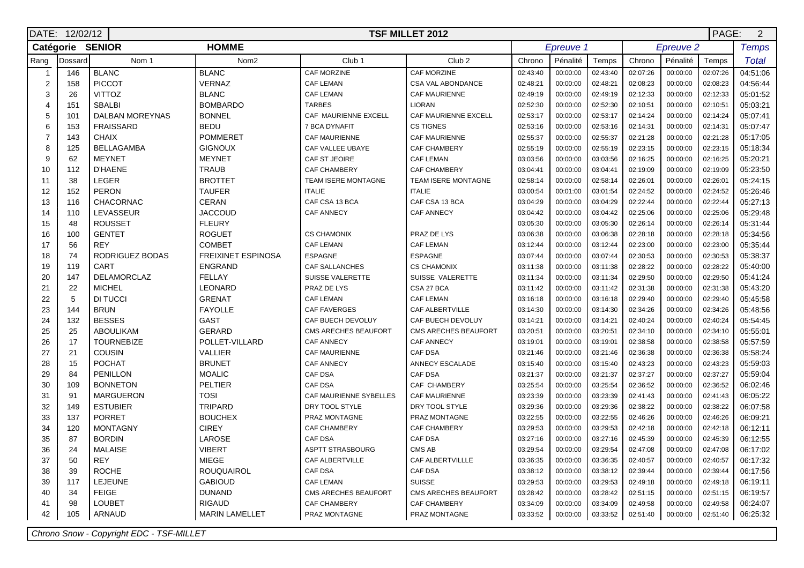|                  | PAGE:<br>$\overline{2}$<br>DATE: 12/02/12<br><b>TSF MILLET 2012</b> |                        |                           |                         |                        |          |           |          |          |                      |          |              |
|------------------|---------------------------------------------------------------------|------------------------|---------------------------|-------------------------|------------------------|----------|-----------|----------|----------|----------------------|----------|--------------|
|                  |                                                                     | Catégorie SENIOR       | <b>HOMME</b>              |                         |                        |          | Epreuve 1 |          |          | Epreuve <sub>2</sub> |          | <b>Temps</b> |
| Rang             | Dossard                                                             | Nom 1                  | Nom <sub>2</sub>          | Club <sub>1</sub>       | Club <sub>2</sub>      | Chrono   | Pénalité  | Temps    | Chrono   | Pénalité             | Temps    | <b>Total</b> |
| $\mathbf{1}$     | 146                                                                 | <b>BLANC</b>           | <b>BLANC</b>              | CAF MORZINE             | CAF MORZINE            | 02:43:40 | 00:00:00  | 02:43:40 | 02:07:26 | 00:00:00             | 02:07:26 | 04:51:06     |
| $\boldsymbol{2}$ | 158                                                                 | <b>PICCOT</b>          | VERNAZ                    | <b>CAF LEMAN</b>        | CSA VAL ABONDANCE      | 02:48:21 | 00:00:00  | 02:48:21 | 02:08:23 | 00:00:00             | 02:08:23 | 04:56:44     |
| $\mathsf 3$      | 26                                                                  | VITTOZ                 | <b>BLANC</b>              | <b>CAF LEMAN</b>        | CAF MAURIENNE          | 02:49:19 | 00:00:00  | 02:49:19 | 02:12:33 | 00:00:00             | 02:12:33 | 05:01:52     |
| 4                | 151                                                                 | <b>SBALBI</b>          | <b>BOMBARDO</b>           | <b>TARBES</b>           | <b>LIORAN</b>          | 02:52:30 | 00:00:00  | 02:52:30 | 02:10:51 | 00:00:00             | 02:10:51 | 05:03:21     |
| 5                | 101                                                                 | <b>DALBAN MOREYNAS</b> | <b>BONNEL</b>             | CAF MAURIENNE EXCELL    | CAF MAURIENNE EXCELL   | 02:53:17 | 00:00:00  | 02:53:17 | 02:14:24 | 00:00:00             | 02:14:24 | 05:07:41     |
| 6                | 153                                                                 | <b>FRAISSARD</b>       | <b>BEDU</b>               | 7 BCA DYNAFIT           | <b>CS TIGNES</b>       | 02:53:16 | 00:00:00  | 02:53:16 | 02:14:31 | 00:00:00             | 02:14:31 | 05:07:47     |
| $\overline{7}$   | 143                                                                 | <b>CHAIX</b>           | <b>POMMERET</b>           | <b>CAF MAURIENNE</b>    | <b>CAF MAURIENNE</b>   | 02:55:37 | 00:00:00  | 02:55:37 | 02:21:28 | 00:00:00             | 02:21:28 | 05:17:05     |
| 8                | 125                                                                 | <b>BELLAGAMBA</b>      | <b>GIGNOUX</b>            | CAF VALLEE UBAYE        | CAF CHAMBERY           | 02:55:19 | 00:00:00  | 02:55:19 | 02:23:15 | 00:00:00             | 02:23:15 | 05:18:34     |
| 9                | 62                                                                  | <b>MEYNET</b>          | <b>MEYNET</b>             | CAF ST JEOIRE           | <b>CAF LEMAN</b>       | 03:03:56 | 00:00:00  | 03:03:56 | 02:16:25 | 00:00:00             | 02:16:25 | 05:20:21     |
| 10               | 112                                                                 | <b>D'HAENE</b>         | <b>TRAUB</b>              | <b>CAF CHAMBERY</b>     | CAF CHAMBERY           | 03:04:41 | 00:00:00  | 03:04:41 | 02:19:09 | 00:00:00             | 02:19:09 | 05:23:50     |
| 11               | 38                                                                  | <b>LEGER</b>           | <b>BROTTET</b>            | TEAM ISERE MONTAGNE     | TEAM ISERE MONTAGNE    | 02:58:14 | 00:00:00  | 02:58:14 | 02:26:01 | 00:00:00             | 02:26:01 | 05:24:15     |
| 12               | 152                                                                 | <b>PERON</b>           | <b>TAUFER</b>             | <b>ITALIE</b>           | <b>ITALIE</b>          | 03:00:54 | 00:01:00  | 03:01:54 | 02:24:52 | 00:00:00             | 02:24:52 | 05:26:46     |
| 13               | 116                                                                 | <b>CHACORNAC</b>       | <b>CERAN</b>              | CAF CSA 13 BCA          | CAF CSA 13 BCA         | 03:04:29 | 00:00:00  | 03:04:29 | 02:22:44 | 00:00:00             | 02:22:44 | 05:27:13     |
| 14               | 110                                                                 | <b>LEVASSEUR</b>       | <b>JACCOUD</b>            | <b>CAF ANNECY</b>       | <b>CAF ANNECY</b>      | 03:04:42 | 00:00:00  | 03:04:42 | 02:25:06 | 00:00:00             | 02:25:06 | 05:29:48     |
| 15               | 48                                                                  | <b>ROUSSET</b>         | <b>FLEURY</b>             |                         |                        | 03:05:30 | 00:00:00  | 03:05:30 | 02:26:14 | 00:00:00             | 02:26:14 | 05:31:44     |
| 16               | 100                                                                 | <b>GENTET</b>          | <b>ROGUET</b>             | <b>CS CHAMONIX</b>      | PRAZ DE LYS            | 03:06:38 | 00:00:00  | 03:06:38 | 02:28:18 | 00:00:00             | 02:28:18 | 05:34:56     |
| 17               | 56                                                                  | <b>REY</b>             | <b>COMBET</b>             | <b>CAF LEMAN</b>        | <b>CAF LEMAN</b>       | 03:12:44 | 00:00:00  | 03:12:44 | 02:23:00 | 00:00:00             | 02:23:00 | 05:35:44     |
| 18               | 74                                                                  | RODRIGUEZ BODAS        | <b>FREIXINET ESPINOSA</b> | <b>ESPAGNE</b>          | <b>ESPAGNE</b>         | 03:07:44 | 00:00:00  | 03:07:44 | 02:30:53 | 00:00:00             | 02:30:53 | 05:38:37     |
| 19               | 119                                                                 | CART                   | <b>ENGRAND</b>            | <b>CAF SALLANCHES</b>   | <b>CS CHAMONIX</b>     | 03:11:38 | 00:00:00  | 03:11:38 | 02:28:22 | 00:00:00             | 02:28:22 | 05:40:00     |
| 20               | 147                                                                 | <b>DELAMORCLAZ</b>     | <b>FELLAY</b>             | SUISSE VALERETTE        | SUISSE VALERETTE       | 03:11:34 | 00:00:00  | 03:11:34 | 02:29:50 | 00:00:00             | 02:29:50 | 05:41:24     |
| 21               | 22                                                                  | <b>MICHEL</b>          | <b>LEONARD</b>            | PRAZ DE LYS             | CSA 27 BCA             | 03:11:42 | 00:00:00  | 03:11:42 | 02:31:38 | 00:00:00             | 02:31:38 | 05:43:20     |
| 22               | 5                                                                   | DI TUCCI               | <b>GRENAT</b>             | <b>CAF LEMAN</b>        | CAF LEMAN              | 03:16:18 | 00:00:00  | 03:16:18 | 02:29:40 | 00:00:00             | 02:29:40 | 05:45:58     |
| 23               | 144                                                                 | <b>BRUN</b>            | <b>FAYOLLE</b>            | <b>CAF FAVERGES</b>     | <b>CAF ALBERTVILLE</b> | 03:14:30 | 00:00:00  | 03:14:30 | 02:34:26 | 00:00:00             | 02:34:26 | 05:48:56     |
| 24               | 132                                                                 | <b>BESSES</b>          | GAST                      | CAF BUECH DEVOLUY       | CAF BUECH DEVOLUY      | 03:14:21 | 00:00:00  | 03:14:21 | 02:40:24 | 00:00:00             | 02:40:24 | 05:54:45     |
| 25               | 25                                                                  | <b>ABOULIKAM</b>       | <b>GERARD</b>             | CMS ARECHES BEAUFORT    | CMS ARECHES BEAUFORT   | 03:20:51 | 00:00:00  | 03:20:51 | 02:34:10 | 00:00:00             | 02:34:10 | 05:55:01     |
| 26               | 17                                                                  | <b>TOURNEBIZE</b>      | POLLET-VILLARD            | <b>CAF ANNECY</b>       | CAF ANNECY             | 03:19:01 | 00:00:00  | 03:19:01 | 02:38:58 | 00:00:00             | 02:38:58 | 05:57:59     |
| 27               | 21                                                                  | <b>COUSIN</b>          | <b>VALLIER</b>            | <b>CAF MAURIENNE</b>    | <b>CAF DSA</b>         | 03:21:46 | 00:00:00  | 03:21:46 | 02:36:38 | 00:00:00             | 02:36:38 | 05:58:24     |
| 28               | 15                                                                  | <b>POCHAT</b>          | <b>BRUNET</b>             | <b>CAF ANNECY</b>       | ANNECY ESCALADE        | 03:15:40 | 00:00:00  | 03:15:40 | 02:43:23 | 00:00:00             | 02:43:23 | 05:59:03     |
| 29               | 84                                                                  | <b>PENILLON</b>        | <b>MOALIC</b>             | CAF DSA                 | CAF DSA                | 03:21:37 | 00:00:00  | 03:21:37 | 02:37:27 | 00:00:00             | 02:37:27 | 05:59:04     |
| 30               | 109                                                                 | <b>BONNETON</b>        | <b>PELTIER</b>            | CAF DSA                 | CAF CHAMBERY           | 03:25:54 | 00:00:00  | 03:25:54 | 02:36:52 | 00:00:00             | 02:36:52 | 06:02:46     |
| 31               | 91                                                                  | <b>MARGUERON</b>       | <b>TOSI</b>               | CAF MAURIENNE SYBELLES  | CAF MAURIENNE          | 03:23:39 | 00:00:00  | 03:23:39 | 02:41:43 | 00:00:00             | 02:41:43 | 06:05:22     |
| 32               | 149                                                                 | <b>ESTUBIER</b>        | <b>TRIPARD</b>            | DRY TOOL STYLE          | DRY TOOL STYLE         | 03:29:36 | 00:00:00  | 03:29:36 | 02:38:22 | 00:00:00             | 02:38:22 | 06:07:58     |
| 33               | 137                                                                 | <b>PORRET</b>          | <b>BOUCHEX</b>            | PRAZ MONTAGNE           | PRAZ MONTAGNE          | 03:22:55 | 00:00:00  | 03:22:55 | 02:46:26 | 00:00:00             | 02:46:26 | 06:09:21     |
| 34               | 120                                                                 | <b>MONTAGNY</b>        | <b>CIREY</b>              | <b>CAF CHAMBERY</b>     | CAF CHAMBERY           | 03:29:53 | 00:00:00  | 03:29:53 | 02:42:18 | 00:00:00             | 02:42:18 | 06:12:11     |
| 35               | 87                                                                  | <b>BORDIN</b>          | LAROSE                    | CAF DSA                 | CAF DSA                | 03:27:16 | 00:00:00  | 03:27:16 | 02:45:39 | 00:00:00             | 02:45:39 | 06:12:55     |
| 36               | 24                                                                  | <b>MALAISE</b>         | <b>VIBERT</b>             | <b>ASPTT STRASBOURG</b> | CMS AB                 | 03:29:54 | 00:00:00  | 03:29:54 | 02:47:08 | 00:00:00             | 02:47:08 | 06:17:02     |
| 37               | 50                                                                  | <b>REY</b>             | MIEGE                     | CAF ALBERTVILLE         | CAF ALBERTVILLLE       | 03:36:35 | 00:00:00  | 03:36:35 | 02:40:57 | 00:00:00             | 02:40:57 | 06:17:32     |
| 38               | 39                                                                  | <b>ROCHE</b>           | <b>ROUQUAIROL</b>         | CAF DSA                 | <b>CAF DSA</b>         | 03:38:12 | 00:00:00  | 03:38:12 | 02:39:44 | 00:00:00             | 02:39:44 | 06:17:56     |
| 39               | 117                                                                 | <b>LEJEUNE</b>         | <b>GABIOUD</b>            | <b>CAF LEMAN</b>        | <b>SUISSE</b>          | 03:29:53 | 00:00:00  | 03:29:53 | 02:49:18 | 00:00:00             | 02:49:18 | 06:19:11     |
| 40               | 34                                                                  | <b>FEIGE</b>           | <b>DUNAND</b>             | CMS ARECHES BEAUFORT    | CMS ARECHES BEAUFORT   | 03:28:42 | 00:00:00  | 03:28:42 | 02:51:15 | 00:00:00             | 02:51:15 | 06:19:57     |
| 41               | 98                                                                  | <b>LOUBET</b>          | <b>RIGAUD</b>             | <b>CAF CHAMBERY</b>     | CAF CHAMBERY           | 03:34:09 | 00:00:00  | 03:34:09 | 02:49:58 | 00:00:00             | 02:49:58 | 06:24:07     |
| 42               | 105                                                                 | ARNAUD                 | <b>MARIN LAMELLET</b>     | PRAZ MONTAGNE           | PRAZ MONTAGNE          | 03:33:52 | 00:00:00  | 03:33:52 | 02:51:40 | 00:00:00             | 02:51:40 | 06:25:32     |

Chrono Snow - Copyright EDC - TSF-MILLET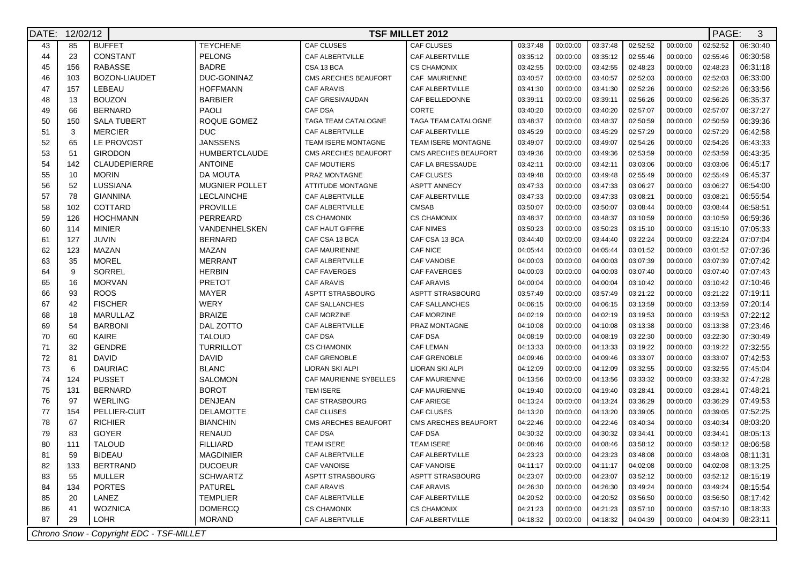| DATE: |     | 12/02/12<br><b>TSF MILLET 2012</b>       |                       |                          |                             |          |          |          |          |          |          | PAGE:<br>3 |
|-------|-----|------------------------------------------|-----------------------|--------------------------|-----------------------------|----------|----------|----------|----------|----------|----------|------------|
| 43    | 85  | <b>BUFFET</b>                            | <b>TEYCHENE</b>       | <b>CAF CLUSES</b>        | <b>CAF CLUSES</b>           | 03:37:48 | 00:00:00 | 03:37:48 | 02:52:52 | 00:00:00 | 02:52:52 | 06:30:40   |
| 44    | 23  | CONSTANT                                 | <b>PELONG</b>         | CAF ALBERTVILLE          | CAF ALBERTVILLE             | 03:35:12 | 00:00:00 | 03:35:12 | 02:55:46 | 00:00:00 | 02:55:46 | 06:30:58   |
| 45    | 156 | <b>RABASSE</b>                           | <b>BADRE</b>          | CSA 13 BCA               | <b>CS CHAMONIX</b>          | 03:42:55 | 00:00:00 | 03:42:55 | 02:48:23 | 00:00:00 | 02:48:23 | 06:31:18   |
| 46    | 103 | BOZON-LIAUDET                            | DUC-GONINAZ           | CMS ARECHES BEAUFORT     | CAF MAURIENNE               | 03:40:57 | 00:00:00 | 03:40:57 | 02:52:03 | 00:00:00 | 02:52:03 | 06:33:00   |
| 47    | 157 | LEBEAU                                   | <b>HOFFMANN</b>       | <b>CAF ARAVIS</b>        | CAF ALBERTVILLE             | 03:41:30 | 00:00:00 | 03:41:30 | 02:52:26 | 00:00:00 | 02:52:26 | 06:33:56   |
| 48    | 13  | <b>BOUZON</b>                            | <b>BARBIER</b>        | CAF GRESIVAUDAN          | CAF BELLEDONNE              | 03:39:11 | 00:00:00 | 03:39:11 | 02:56:26 | 00:00:00 | 02:56:26 | 06:35:37   |
| 49    | 66  | <b>BERNARD</b>                           | <b>PAOLI</b>          | CAF DSA                  | CORTE                       | 03:40:20 | 00:00:00 | 03:40:20 | 02:57:07 | 00:00:00 | 02:57:07 | 06:37:27   |
| 50    | 150 | <b>SALA TUBERT</b>                       | ROQUE GOMEZ           | TAGA TEAM CATALOGNE      | TAGA TEAM CATALOGNE         | 03:48:37 | 00:00:00 | 03:48:37 | 02:50:59 | 00:00:00 | 02:50:59 | 06:39:36   |
| 51    | 3   | <b>MERCIER</b>                           | <b>DUC</b>            | CAF ALBERTVILLE          | CAF ALBERTVILLE             | 03:45:29 | 00:00:00 | 03:45:29 | 02:57:29 | 00:00:00 | 02:57:29 | 06:42:58   |
| 52    | 65  | LE PROVOST                               | <b>JANSSENS</b>       | TEAM ISERE MONTAGNE      | <b>TEAM ISERE MONTAGNE</b>  | 03:49:07 | 00:00:00 | 03:49:07 | 02:54:26 | 00:00:00 | 02:54:26 | 06:43:33   |
| 53    | 51  | <b>GIRODON</b>                           | <b>HUMBERTCLAUDE</b>  | CMS ARECHES BEAUFORT     | <b>CMS ARECHES BEAUFORT</b> | 03:49:36 | 00:00:00 | 03:49:36 | 02:53:59 | 00:00:00 | 02:53:59 | 06:43:35   |
| 54    | 142 | <b>CLAUDEPIERRE</b>                      | <b>ANTOINE</b>        | <b>CAF MOUTIERS</b>      | CAF LA BRESSAUDE            | 03:42:11 | 00:00:00 | 03:42:11 | 03:03:06 | 00:00:00 | 03:03:06 | 06:45:17   |
| 55    | 10  | <b>MORIN</b>                             | DA MOUTA              | PRAZ MONTAGNE            | CAF CLUSES                  | 03:49:48 | 00:00:00 | 03:49:48 | 02:55:49 | 00:00:00 | 02:55:49 | 06:45:37   |
| 56    | 52  | LUSSIANA                                 | <b>MUGNIER POLLET</b> | <b>ATTITUDE MONTAGNE</b> | <b>ASPTT ANNECY</b>         | 03:47:33 | 00:00:00 | 03:47:33 | 03:06:27 | 00:00:00 | 03:06:27 | 06:54:00   |
| 57    | 78  | <b>GIANNINA</b>                          | <b>LECLAINCHE</b>     | CAF ALBERTVILLE          | CAF ALBERTVILLE             | 03:47:33 | 00:00:00 | 03:47:33 | 03:08:21 | 00:00:00 | 03:08:21 | 06:55:54   |
| 58    | 102 | <b>COTTARD</b>                           | <b>PROVILLE</b>       | CAF ALBERTVILLE          | <b>CMSAB</b>                | 03:50:07 | 00:00:00 | 03:50:07 | 03:08:44 | 00:00:00 | 03:08:44 | 06:58:51   |
| 59    | 126 | <b>HOCHMANN</b>                          | PERREARD              | <b>CS CHAMONIX</b>       | <b>CS CHAMONIX</b>          | 03:48:37 | 00:00:00 | 03:48:37 | 03:10:59 | 00:00:00 | 03:10:59 | 06:59:36   |
| 60    | 114 | <b>MINIER</b>                            | VANDENHELSKEN         | CAF HAUT GIFFRE          | <b>CAF NIMES</b>            | 03:50:23 | 00:00:00 | 03:50:23 | 03:15:10 | 00:00:00 | 03:15:10 | 07:05:33   |
| 61    | 127 | <b>JUVIN</b>                             | <b>BERNARD</b>        | CAF CSA 13 BCA           | CAF CSA 13 BCA              | 03:44:40 | 00:00:00 | 03:44:40 | 03:22:24 | 00:00:00 | 03:22:24 | 07:07:04   |
| 62    | 123 | MAZAN                                    | MAZAN                 | <b>CAF MAURIENNE</b>     | <b>CAF NICE</b>             | 04:05:44 | 00:00:00 | 04:05:44 | 03:01:52 | 00:00:00 | 03:01:52 | 07:07:36   |
| 63    | 35  | <b>MOREL</b>                             | <b>MERRANT</b>        | CAF ALBERTVILLE          | <b>CAF VANOISE</b>          | 04:00:03 | 00:00:00 | 04:00:03 | 03:07:39 | 00:00:00 | 03:07:39 | 07:07:42   |
| 64    | 9   | <b>SORREL</b>                            | <b>HERBIN</b>         | <b>CAF FAVERGES</b>      | <b>CAF FAVERGES</b>         | 04:00:03 | 00:00:00 | 04:00:03 | 03:07:40 | 00:00:00 | 03:07:40 | 07:07:43   |
| 65    | 16  | <b>MORVAN</b>                            | <b>PRETOT</b>         | <b>CAF ARAVIS</b>        | <b>CAF ARAVIS</b>           | 04:00:04 | 00:00:00 | 04:00:04 | 03:10:42 | 00:00:00 | 03:10:42 | 07:10:46   |
| 66    | 93  | <b>ROOS</b>                              | <b>MAYER</b>          | <b>ASPTT STRASBOURG</b>  | <b>ASPTT STRASBOURG</b>     | 03:57:49 | 00:00:00 | 03:57:49 | 03:21:22 | 00:00:00 | 03:21:22 | 07:19:11   |
| 67    | 42  | <b>FISCHER</b>                           | WERY                  | CAF SALLANCHES           | CAF SALLANCHES              | 04:06:15 | 00:00:00 | 04:06:15 | 03:13:59 | 00:00:00 | 03:13:59 | 07:20:14   |
| 68    | 18  | <b>MARULLAZ</b>                          | <b>BRAIZE</b>         | <b>CAF MORZINE</b>       | <b>CAF MORZINE</b>          | 04:02:19 | 00:00:00 | 04:02:19 | 03:19:53 | 00:00:00 | 03:19:53 | 07:22:12   |
| 69    | 54  | <b>BARBONI</b>                           | DAL ZOTTO             | CAF ALBERTVILLE          | PRAZ MONTAGNE               | 04:10:08 | 00:00:00 | 04:10:08 | 03:13:38 | 00:00:00 | 03:13:38 | 07:23:46   |
| 70    | 60  | <b>KAIRE</b>                             | <b>TALOUD</b>         | <b>CAF DSA</b>           | CAF DSA                     | 04:08:19 | 00:00:00 | 04:08:19 | 03:22:30 | 00:00:00 | 03:22:30 | 07:30:49   |
| 71    | 32  | <b>GENDRE</b>                            | TURRILLOT             | <b>CS CHAMONIX</b>       | <b>CAF LEMAN</b>            | 04:13:33 | 00:00:00 | 04:13:33 | 03:19:22 | 00:00:00 | 03:19:22 | 07:32:55   |
| 72    | 81  | <b>DAVID</b>                             | <b>DAVID</b>          | <b>CAF GRENOBLE</b>      | CAF GRENOBLE                | 04:09:46 | 00:00:00 | 04:09:46 | 03:33:07 | 00:00:00 | 03:33:07 | 07:42:53   |
| 73    | 6   | <b>DAURIAC</b>                           | <b>BLANC</b>          | LIORAN SKI ALPI          | LIORAN SKI ALPI             | 04:12:09 | 00:00:00 | 04:12:09 | 03:32:55 | 00:00:00 | 03:32:55 | 07:45:04   |
| 74    | 124 | <b>PUSSET</b>                            | <b>SALOMON</b>        | CAF MAURIENNE SYBELLES   | <b>CAF MAURIENNE</b>        | 04:13:56 | 00:00:00 | 04:13:56 | 03:33:32 | 00:00:00 | 03:33:32 | 07:47:28   |
| 75    | 131 | <b>BERNARD</b>                           | <b>BOROT</b>          | <b>TEM ISERE</b>         | <b>CAF MAURIENNE</b>        | 04:19:40 | 00:00:00 | 04:19:40 | 03:28:41 | 00:00:00 | 03:28:41 | 07:48:21   |
| 76    | 97  | <b>WERLING</b>                           | <b>DENJEAN</b>        | CAF STRASBOURG           | <b>CAF ARIEGE</b>           | 04:13:24 | 00:00:00 | 04:13:24 | 03:36:29 | 00:00:00 | 03:36:29 | 07:49:53   |
| 77    | 154 | <b>PELLIER-CUIT</b>                      | <b>DELAMOTTE</b>      | CAF CLUSES               | CAF CLUSES                  | 04:13:20 | 00:00:00 | 04:13:20 | 03:39:05 | 00:00:00 | 03:39:05 | 07:52:25   |
| 78    | 67  | <b>RICHIER</b>                           | <b>BIANCHIN</b>       | CMS ARECHES BEAUFORT     | <b>CMS ARECHES BEAUFORT</b> | 04:22:46 | 00:00:00 | 04:22:46 | 03:40:34 | 00:00:00 | 03:40:34 | 08:03:20   |
| 79    | 83  | <b>GOYER</b>                             | RENAUD                | CAF DSA                  | CAF DSA                     | 04:30:32 | 00:00:00 | 04:30:32 | 03:34:41 | 00:00:00 | 03:34:41 | 08:05:13   |
| 80    | 111 | <b>TALOUD</b>                            | <b>FILLIARD</b>       | <b>TEAM ISERE</b>        | <b>TEAM ISERE</b>           | 04:08:46 | 00:00:00 | 04:08:46 | 03:58:12 | 00:00:00 | 03:58:12 | 08:06:58   |
| 81    | 59  | <b>BIDEAU</b>                            | <b>MAGDINIER</b>      | CAF ALBERTVILLE          | CAF ALBERTVILLE             | 04:23:23 | 00:00:00 | 04:23:23 | 03:48:08 | 00:00:00 | 03:48:08 | 08:11:31   |
| 82    | 133 | <b>BERTRAND</b>                          | <b>DUCOEUR</b>        | <b>CAF VANOISE</b>       | CAF VANOISE                 | 04:11:17 | 00:00:00 | 04:11:17 | 04:02:08 | 00:00:00 | 04:02:08 | 08:13:25   |
| 83    | 55  | MULLER                                   | <b>SCHWARTZ</b>       | <b>ASPTT STRASBOURG</b>  | <b>ASPTT STRASBOURG</b>     | 04:23:07 | 00:00:00 | 04:23:07 | 03:52:12 | 00:00:00 | 03:52:12 | 08:15:19   |
| 84    | 134 | <b>PORTES</b>                            | PATUREL               | <b>CAF ARAVIS</b>        | CAF ARAVIS                  | 04:26:30 | 00:00:00 | 04:26:30 | 03:49:24 | 00:00:00 | 03:49:24 | 08:15:54   |
| 85    | 20  | LANEZ                                    | <b>TEMPLIER</b>       | CAF ALBERTVILLE          | CAF ALBERTVILLE             | 04:20:52 | 00:00:00 | 04:20:52 | 03:56:50 | 00:00:00 | 03:56:50 | 08:17:42   |
| 86    | 41  | <b>WOZNICA</b>                           | <b>DOMERCQ</b>        | <b>CS CHAMONIX</b>       | <b>CS CHAMONIX</b>          | 04:21:23 | 00:00:00 | 04:21:23 | 03:57:10 | 00:00:00 | 03:57:10 | 08:18:33   |
| 87    | 29  | LOHR                                     | <b>MORAND</b>         | CAF ALBERTVILLE          | CAF ALBERTVILLE             | 04:18:32 | 00:00:00 | 04:18:32 | 04:04:39 | 00:00:00 | 04:04:39 | 08:23:11   |
|       |     | Chrono Snow - Copyright EDC - TSF-MILLET |                       |                          |                             |          |          |          |          |          |          |            |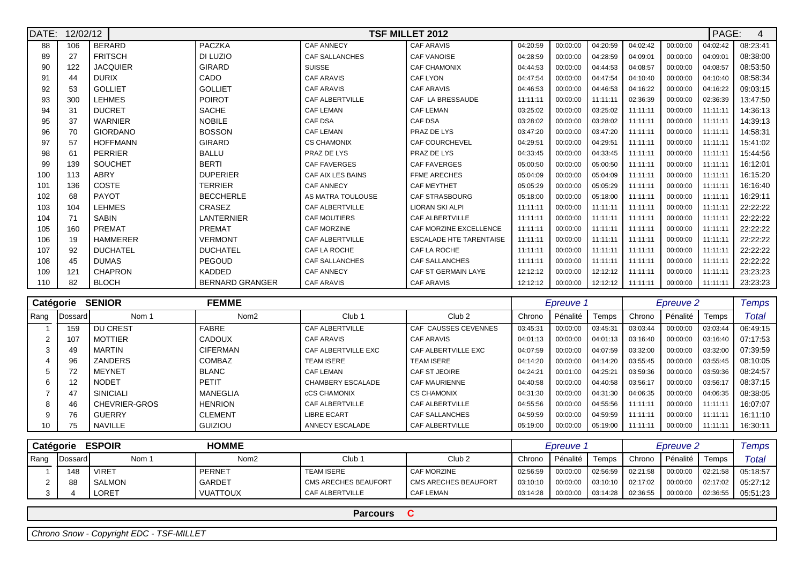| DATE: | 12/02/12 |                 |                        |                       | <b>TSF MILLET 2012</b>         |          |          |          |          |          | PAGE:    | $\overline{4}$ |
|-------|----------|-----------------|------------------------|-----------------------|--------------------------------|----------|----------|----------|----------|----------|----------|----------------|
| 88    | 106      | <b>BERARD</b>   | PACZKA                 | <b>CAF ANNECY</b>     | <b>CAF ARAVIS</b>              | 04:20:59 | 00:00:00 | 04:20:59 | 04:02:42 | 00:00:00 | 04:02:42 | 08:23:41       |
| 89    | 27       | <b>FRITSCH</b>  | DI LUZIO               | <b>CAF SALLANCHES</b> | <b>CAF VANOISE</b>             | 04:28:59 | 00:00:00 | 04:28:59 | 04:09:01 | 00:00:00 | 04:09:01 | 08:38:00       |
| 90    | 122      | <b>JACQUIER</b> | GIRARD                 | <b>SUISSE</b>         | <b>CAF CHAMONIX</b>            | 04:44:53 | 00:00:00 | 04:44:53 | 04:08:57 | 00:00:00 | 04:08:57 | 08:53:50       |
| 91    | 44       | <b>DURIX</b>    | CADO                   | <b>CAF ARAVIS</b>     | <b>CAF LYON</b>                | 04:47:54 | 00:00:00 | 04:47:54 | 04:10:40 | 00:00:00 | 04:10:40 | 08:58:34       |
| 92    | 53       | <b>GOLLIET</b>  | <b>GOLLIET</b>         | <b>CAF ARAVIS</b>     | <b>CAF ARAVIS</b>              | 04:46:53 | 00:00:00 | 04:46:53 | 04:16:22 | 00:00:00 | 04:16:22 | 09:03:15       |
| 93    | 300      | <b>LEHMES</b>   | <b>POIROT</b>          | CAF ALBERTVILLE       | CAF LA BRESSAUDE               | 11:11:11 | 00:00:00 | 11:11:11 | 02:36:39 | 00:00:00 | 02:36:39 | 13:47:50       |
| 94    | 31       | <b>DUCRET</b>   | <b>SACHE</b>           | <b>CAF LEMAN</b>      | <b>CAF LEMAN</b>               | 03:25:02 | 00:00:00 | 03:25:02 | 11:11:11 | 00:00:00 | 11:11:11 | 14:36:13       |
| 95    | 37       | <b>WARNIER</b>  | <b>NOBILE</b>          | <b>CAF DSA</b>        | CAF DSA                        | 03:28:02 | 00:00:00 | 03:28:02 | 11:11:11 | 00:00:00 | 11:11:11 | 14:39:13       |
| 96    | 70       | <b>GIORDANO</b> | <b>BOSSON</b>          | <b>CAF LEMAN</b>      | PRAZ DE LYS                    | 03:47:20 | 00:00:00 | 03:47:20 | 11:11:11 | 00:00:00 | 11:11:1' | 14:58:31       |
| 97    | 57       | <b>HOFFMANN</b> | GIRARD                 | <b>CS CHAMONIX</b>    | <b>CAF COURCHEVEL</b>          | 04:29:51 | 00:00:00 | 04:29:51 | 11:11:11 | 00:00:00 | 11:11:11 | 15:41:02       |
| 98    | 61       | <b>PERRIER</b>  | <b>BALLU</b>           | PRAZ DE LYS           | PRAZ DE LYS                    | 04:33:45 | 00:00:00 | 04:33:45 | 11:11:11 | 00:00:00 | 11:11:11 | 15:44:56       |
| 99    | 139      | SOUCHET         | <b>BERTI</b>           | <b>CAF FAVERGES</b>   | <b>CAF FAVERGES</b>            | 05:00:50 | 00:00:00 | 05:00:50 | 11:11:11 | 00:00:00 | 11:11:11 | 16:12:01       |
| 100   | 113      | ABRY            | <b>DUPERIER</b>        | CAF AIX LES BAINS     | <b>FFME ARECHES</b>            | 05:04:09 | 00:00:00 | 05:04:09 | 11:11:11 | 00:00:00 | 11:11:11 | 16:15:20       |
| 101   | 136      | <b>COSTE</b>    | <b>TERRIER</b>         | <b>CAF ANNECY</b>     | <b>CAF MEYTHET</b>             | 05:05:29 | 00:00:00 | 05:05:29 | 11:11:11 | 00:00:00 | 11:11:11 | 16:16:40       |
| 102   | 68       | <b>PAYOT</b>    | <b>BECCHERLE</b>       | AS MATRA TOULOUSE     | <b>CAF STRASBOURG</b>          | 05:18:00 | 00:00:00 | 05:18:00 | 11:11:11 | 00:00:00 | 11:11:1' | 16:29:11       |
| 103   | 104      | <b>LEHMES</b>   | CRASEZ                 | CAF ALBERTVILLE       | <b>LIORAN SKI ALPI</b>         | 11:11:11 | 00:00:00 | 11:11:11 | 11:11:11 | 00:00:00 | 11:11:11 | 22:22:22       |
| 104   | 71       | <b>SABIN</b>    | LANTERNIER             | <b>CAF MOUTIERS</b>   | CAF ALBERTVILLE                | 11:11:11 | 00:00:00 | 11:11:11 | 11:11:11 | 00:00:00 | 11:11:1' | 22:22:22       |
| 105   | 160      | <b>PREMAT</b>   | PREMAT                 | <b>CAF MORZINE</b>    | CAF MORZINE EXCELLENCE         | 11:11:11 | 00:00:00 | 11:11:11 | 11:11:11 | 00:00:00 | 11:11:11 | 22:22:22       |
| 106   | 19       | <b>HAMMERER</b> | <b>VERMONT</b>         | CAF ALBERTVILLE       | <b>ESCALADE HTE TARENTAISE</b> | 11:11:11 | 00:00:00 | 11:11:11 | 11:11:11 | 00:00:00 | 11:11:1' | 22:22:22       |
| 107   | 92       | <b>DUCHATEL</b> | <b>DUCHATEL</b>        | CAF LA ROCHE          | CAF LA ROCHE                   | 11:11:11 | 00:00:00 | 11:11:11 | 11:11:11 | 00:00:00 | 11:11:1' | 22:22:22       |
| 108   | 45       | <b>DUMAS</b>    | PEGOUD                 | <b>CAF SALLANCHES</b> | <b>CAF SALLANCHES</b>          | 11:11:11 | 00:00:00 | 11:11:11 | 11:11:11 | 00:00:00 | 11:11:11 | 22:22:22       |
| 109   | 121      | <b>CHAPRON</b>  | KADDED                 | <b>CAF ANNECY</b>     | <b>CAF ST GERMAIN LAYE</b>     | 12:12:12 | 00:00:00 | 12:12:12 | 11:11:11 | 00:00:00 | 11:11:1' | 23:23:23       |
| 110   | 82       | <b>BLOCH</b>    | <b>BERNARD GRANGER</b> | CAF ARAVIS            | <b>CAF ARAVIS</b>              | 12:12:12 | 00:00:00 | 12:12:12 | 11:11:11 | 00:00:00 | 11:11:1' | 23:23:23       |

|      | Catégorie       | <b>SENIOR</b>  | <b>FEMME</b>     |                     |                       | Epreuve 1 |          |          | Epreuve 2 |          |          | <b>Temps</b> |
|------|-----------------|----------------|------------------|---------------------|-----------------------|-----------|----------|----------|-----------|----------|----------|--------------|
| Rang | <b>IDossard</b> | Nom 1          | Nom <sub>2</sub> | Club <sub>1</sub>   | Club <sub>2</sub>     | Chrono    | Pénalité | Temps    | Chrono    | Pénalité | Temps    | Total        |
|      | 159             | DU CREST       | <b>FABRE</b>     | CAF ALBERTVILLE     | CAF CAUSSES CEVENNES  | 03:45:31  | 00:00:00 | 03:45:31 | 03:03:44  | 00:00:00 | 03:03:44 | 06:49:15     |
|      | 107             | <b>MOTTIER</b> | CADOUX           | CAF ARAVIS          | <b>CAF ARAVIS</b>     | 04:01:13  | 00:00:00 | 04:01:13 | 03:16:40  | 00:00:00 | 03:16:40 | 07:17:53     |
|      | 49              | <b>MARTIN</b>  | <b>CIFERMAN</b>  | CAF ALBERTVILLE EXC | CAF ALBERTVILLE EXC   | 04:07:59  | 00:00:00 | 04:07:59 | 03:32:00  | 00:00:00 | 03:32:00 | 07:39:59     |
|      | 96              | ZANDERS        | COMBAZ           | <b>TEAM ISERE</b>   | <b>TEAM ISERE</b>     | 04:14:20  | 00:00:00 | 04:14:20 | 03:55:45  | 00:00:00 | 03:55:45 | 08:10:05     |
|      |                 | MEYNET         | <b>BLANC</b>     | <b>CAF LEMAN</b>    | CAF ST JEOIRE         | 04:24:21  | 00:01:00 | 04:25:21 | 03:59:36  | 00:00:00 | 03:59:36 | 08:24:57     |
|      | 12              | <b>NODET</b>   | PETIT            | CHAMBERY ESCALADE   | <b>CAF MAURIENNE</b>  | 04:40:58  | 00:00:00 | 04:40:58 | 03:56:17  | 00:00:00 | 03:56:17 | 08:37:15     |
|      | 47              | SINICIALI      | MANEGLIA         | <b>CCS CHAMONIX</b> | <b>CS CHAMONIX</b>    | 04:31:30  | 00:00:00 | 04:31:30 | 04:06:35  | 00:00:00 | 04:06:35 | 08:38:05     |
|      | 46              | CHEVRIER-GROS  | <b>HENRION</b>   | CAF ALBERTVILLE     | CAF ALBERTVILLE       | 04:55:56  | 00:00:00 | 04:55:56 | 11:11:11  | 00:00:00 | 11:11:11 | 16:07:07     |
|      | 76              | <b>GUERRY</b>  | <b>CLEMENT</b>   | <b>LIBRE ECART</b>  | <b>CAF SALLANCHES</b> | 04:59:59  | 00:00:00 | 04:59:59 | 11:11:11  | 00:00:00 | 11:11:11 | 16:11:10     |
| 10   | 75              | NAVILLE        | <b>GUIZIOU</b>   | ANNECY ESCALADE     | CAF ALBERTVILLE       | 05:19:00  | 00:00:00 | 05:19:00 | 11:11:11  | 00:00:00 | 11:11:11 | 16:30:11     |

|        | <b>Catégorie</b> | <b>ESPOIR</b> | <b>HOMME</b>    |                      |                             | Epreuve 1 |          |                       | <b>Epreuve 2</b> |            |          | Temps                             |
|--------|------------------|---------------|-----------------|----------------------|-----------------------------|-----------|----------|-----------------------|------------------|------------|----------|-----------------------------------|
| i Rang | Dossard          | Nom 1         | Nom2            | Club <sub>1</sub>    | Club <sub>2</sub>           | Chrono    | Pénalité | Temps                 | Chrono           | Pénalité I | Temps    | Total                             |
|        | 148              | VIRET         | PERNET          | <b>TEAM ISERE</b>    | <b>CAF MORZINE</b>          | 02:56:59  | 00:00:00 | 02:56:59              | 02:21:58         | 00:00:00   |          | $\vert$ 02:21:58 $\vert$ 05:18:57 |
|        | 88               | <b>SALMON</b> | <b>GARDET</b>   | CMS ARECHES BEAUFORT | <b>CMS ARECHES BEAUFORT</b> | 03:10:10  |          | $00:00:00$   03:10:10 | 02:17:02         | 00:00:00   |          | 02:17:02   05:27:12               |
|        |                  | LORET         | <b>VUATTOUX</b> | I CAF ALBERTVILLE    | <b>CAF LEMAN</b>            | 03:14:28  | 00:00:00 | 03:14:28              | 02:36:55         | 00:00:00   | 02:36:55 | 05:51:23                          |

**Parcours <sup>C</sup>**

Chrono Snow - Copyright EDC - TSF-MILLET